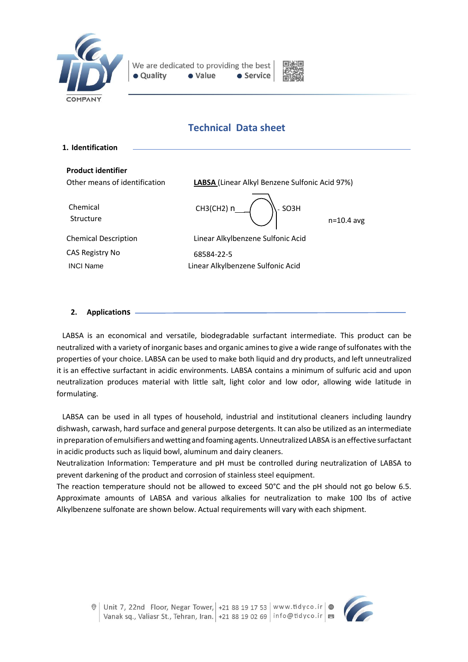



# **Technical Data sheet**

| 1. Identification             |                                                |              |
|-------------------------------|------------------------------------------------|--------------|
| <b>Product identifier</b>     |                                                |              |
| Other means of identification | LABSA (Linear Alkyl Benzene Sulfonic Acid 97%) |              |
| Chemical<br>Structure         | CH3(CH2) n<br>SO <sub>3</sub> H                | $n=10.4$ avg |
| <b>Chemical Description</b>   | Linear Alkylbenzene Sulfonic Acid              |              |
| CAS Registry No               | 68584-22-5                                     |              |
| <b>INCI Name</b>              | Linear Alkylbenzene Sulfonic Acid              |              |
|                               |                                                |              |

## **2. Applications**

LABSA is an economical and versatile, biodegradable surfactant intermediate. This product can be neutralized with a variety of inorganic bases and organic aminesto give a wide range ofsulfonates with the properties of your choice. LABSA can be used to make both liquid and dry products, and left unneutralized it is an effective surfactant in acidic environments. LABSA contains a minimum of sulfuric acid and upon neutralization produces material with little salt, light color and low odor, allowing wide latitude in formulating.

LABSA can be used in all types of household, industrial and institutional cleaners including laundry dishwash, carwash, hard surface and general purpose detergents. It can also be utilized as an intermediate in preparation of emulsifiers and wetting and foaming agents. Unneutralized LABSA is an effective surfactant in acidic products such as liquid bowl, aluminum and dairy cleaners.

Neutralization Information: Temperature and pH must be controlled during neutralization of LABSA to prevent darkening of the product and corrosion of stainless steel equipment.

The reaction temperature should not be allowed to exceed 50°C and the pH should not go below 6.5. Approximate amounts of LABSA and various alkalies for neutralization to make 100 lbs of active Alkylbenzene sulfonate are shown below. Actual requirements will vary with each shipment.

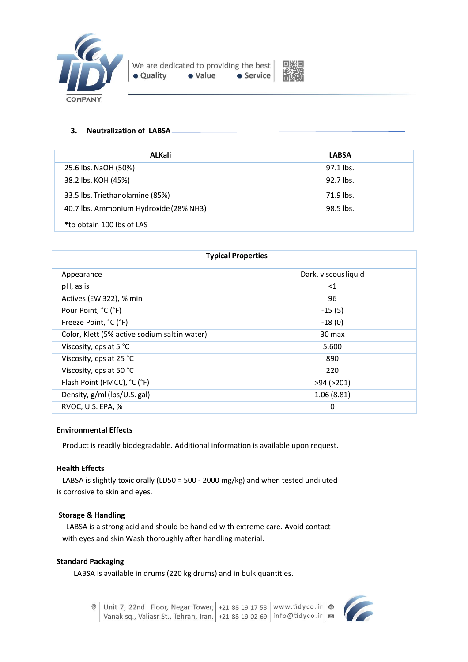



# **3. Neutralization of LABSA**

| ALKali                                 | <b>LABSA</b> |
|----------------------------------------|--------------|
| 25.6 lbs. NaOH (50%)                   | $97.1$ lbs.  |
| 38.2 lbs. KOH (45%)                    | 92.7 lbs.    |
| 33.5 lbs. Triethanolamine (85%)        | 71.9 lbs.    |
| 40.7 lbs. Ammonium Hydroxide (28% NH3) | 98.5 lbs.    |
| *to obtain 100 lbs of LAS              |              |

| <b>Typical Properties</b>                     |                      |  |  |
|-----------------------------------------------|----------------------|--|--|
| Appearance                                    | Dark, viscous liquid |  |  |
| pH, as is                                     | $<$ 1                |  |  |
| Actives (EW 322), % min                       | 96                   |  |  |
| Pour Point, °C (°F)                           | $-15(5)$             |  |  |
| Freeze Point, °C (°F)                         | $-18(0)$             |  |  |
| Color, Klett (5% active sodium salt in water) | 30 max               |  |  |
| Viscosity, cps at 5 °C                        | 5,600                |  |  |
| Viscosity, cps at 25 °C                       | 890                  |  |  |
| Viscosity, cps at 50 °C                       | 220                  |  |  |
| Flash Point (PMCC), °C (°F)                   | $>94$ ( $>201$ )     |  |  |
| Density, g/ml (lbs/U.S. gal)                  | 1.06(8.81)           |  |  |
| RVOC, U.S. EPA, %                             | 0                    |  |  |

## **Environmental Effects**

Product is readily biodegradable. Additional information is available upon request.

# **Health Effects**

 LABSA is slightly toxic orally (LD50 = 500 - 2000 mg/kg) and when tested undiluted is corrosive to skin and eyes.

## **Storage & Handling**

 LABSA is a strong acid and should be handled with extreme care. Avoid contact with eyes and skin Wash thoroughly after handling material.

## **Standard Packaging**

LABSA is available in drums (220 kg drums) and in bulk quantities.



 $\circ$  Unit 7, 22nd Floor, Negar Tower, +21 88 19 17 53 | www.tidyco.ir  $\circ$ Vanak sq., Valiasr St., Tehran, Iran. +21 88 19 02 69 | info@tidyco.ir | 23